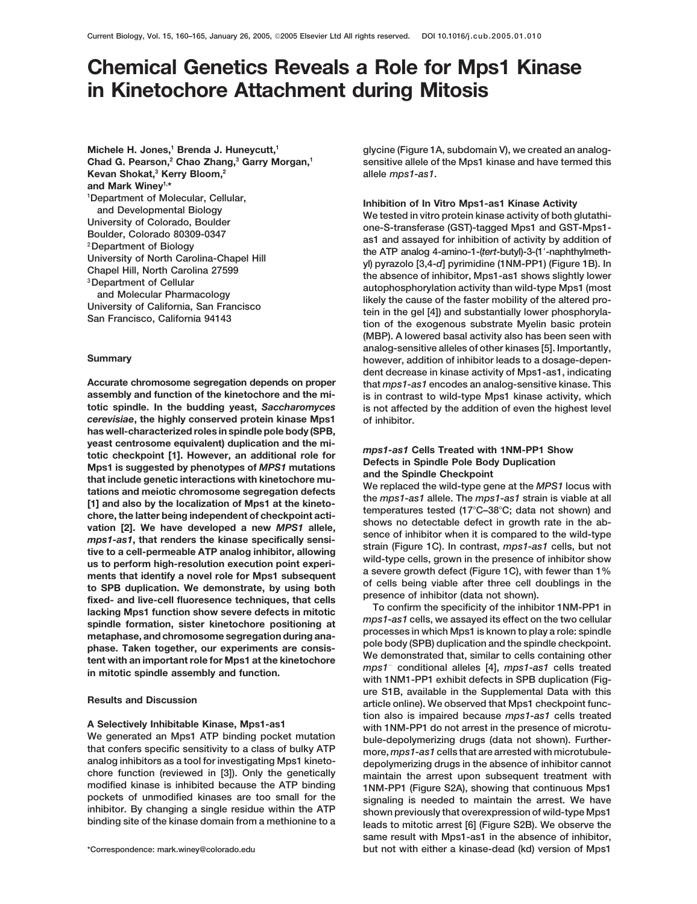# **Chemical Genetics Reveals a Role for Mps1 Kinase in Kinetochore Attachment during Mitosis**

Michele H. Jones,<sup>1</sup> Brenda J. Huneycutt,<sup>1</sup> **Chad G. Pearson,2 Chao Zhang,3 Garry Morgan,1 Kevan Shokat,3 Kerry Bloom,2 and Mark Winey1,\*** <sup>1</sup>Department of Molecular, Cellular,

**assembly and function of the kinetochore and the mi- is in contrast to wild-type Mps1 kinase activity, which** *cerevisiae***, the highly conserved protein kinase Mps1 of inhibitor. has well-characterized roles in spindle pole body (SPB,** yeast centrosome equivalent) duplication and the mi-<br>totic checkpoint [1]. However, an additional role for<br>Mps1 is suggested by phenotypes of *MPS1* mutations<br>that include genetic interactions with kinetochore mu-<br>tations chore, the latter being independent of checkpoint acti-<br>chore, the latter being independent of checkpoint acti-<br>vation [2]. We have developed a new *MPS1* allele,<br>mows no detected in growth rate in the ab-<br>more of inhibito

**glycine (Figure 1A, subdomain V), we created an analogsensitive allele of the Mps1 kinase and have termed this allele** *mps1-as1***.**

Vertext of Molecular, Cellular, Cellular, Cellular, Cellular, Cellular, Cellular, Cellular, Colorado, Boulder<br>
Vertext in vitro protein kinase Activity<br>
Colorado, Boulder<br>
Pougartment of Biology<br>
Colorado 80309-0347<br>
Pouga **(MBP). A lowered basal activity also has been seen with analog-sensitive alleles of other kinases [5]. Importantly, Summary however, addition of inhibitor leads to a dosage-dependent decrease in kinase activity of Mps1-as1, indicating Accurate chromosome segregation depends on proper that** *mps1-as1* **encodes an analog-sensitive kinase. This**  $\mathbf{r}_i$  is not affected by the addition of even the highest level

temperatures tested (17°C-38°C; data not shown) and

**ure S1B, available in the Supplemental Data with this Results and Discussion article online). We observed that Mps1 checkpoint function also is impaired because** *mps1-as1* **cells treated** A Selectively Inhibitable Kinase, Mps1-as1 with 1NM-PP1 do not arrest in the presence of microtu-<br>We generated an Mps1 ATP binding pocket mutation<br>that confers specific sensitivity to a class of bulky ATP more, mps1-as1 ce analog inhibitors as a tool for investigating Mps1 kineto-<br>
chore function (reviewed in [3]). Only the genetically<br>
modified kinase is inhibited because the ATP binding<br>
pockets of unmodified kinases are too small for the<br> **same result with Mps1-as1 in the absence of inhibitor, \*Correspondence: mark.winey@colorado.edu but not with either a kinase-dead (kd) version of Mps1**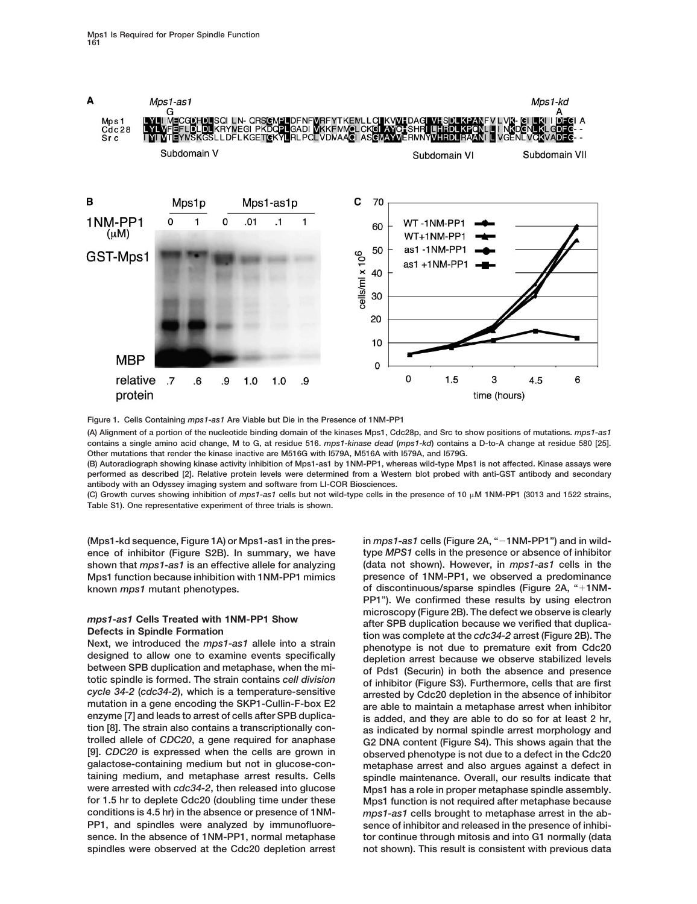

**Figure 1. Cells Containing** *mps1-as1* **Are Viable but Die in the Presence of 1NM-PP1**

**(A) Alignment of a portion of the nucleotide binding domain of the kinases Mps1, Cdc28p, and Src to show positions of mutations.** *mps1-as1* **contains a single amino acid change, M to G, at residue 516.** *mps1-kinase dead* **(***mps1-kd***) contains a D-to-A change at residue 580 [25]. Other mutations that render the kinase inactive are M516G with I579A, M516A with I579A, and I579G.**

**(B) Autoradiograph showing kinase activity inhibition of Mps1-as1 by 1NM-PP1, whereas wild-type Mps1 is not affected. Kinase assays were performed as described [2]. Relative protein levels were determined from a Western blot probed with anti-GST antibody and secondary antibody with an Odyssey imaging system and software from LI-COR Biosciences.**

(C) Growth curves showing inhibition of *mps1-as1* cells but not wild-type cells in the presence of 10  $\mu$ M 1NM-PP1 (3013 and 1522 strains, **Table S1). One representative experiment of three trials is shown.**

mutation in a gene encoding the SKP1-Cullin-F-box E2 are able to maintain a metaphase arrest when inhibitor enzyme [7] and leads to arrest of cells after SPB duplica-<br>
is added, and they are able to do so for at least 2 hr **tion [8]. The strain also contains a transcriptionally con- as indicated by normal spindle arrest morphology and trolled allele of** *CDC20***, a gene required for anaphase G2 DNA content (Figure S4). This shows again that the [9].** *CDC20* **is expressed when the cells are grown in observed phenotype is not due to a defect in the Cdc20 galactose-containing medium but not in glucose-con- metaphase arrest and also argues against a defect in were arrested with** *cdc34-2***, then released into glucose Mps1 has a role in proper metaphase spindle assembly. for 1.5 hr to deplete Cdc20 (doubling time under these Mps1 function is not required after metaphase because conditions is 4.5 hr) in the absence or presence of 1NM-** *mps1-as1* **cells brought to metaphase arrest in the ab-PP1, and spindles were analyzed by immunofluore- sence of inhibitor and released in the presence of inhibisence. In the absence of 1NM-PP1, normal metaphase tor continue through mitosis and into G1 normally (data**

**(Mps1-kd sequence, Figure 1A) or Mps1-as1 in the pres- in** *mps1-as1* **cells (Figure 2A, "1NM-PP1") and in wildence of inhibitor (Figure S2B). In summary, we have type** *MPS1* **cells in the presence or absence of inhibitor shown that** *mps1-as1* **is an effective allele for analyzing (data not shown). However, in** *mps1-as1* **cells in the Mps1 function because inhibition with 1NM-PP1 mimics presence of 1NM-PP1, we observed a predominance known** *mps1* **mutant phenotypes. of discontinuous/sparse spindles (Figure 2A, "1NM-PP1"). We confirmed these results by using electron** microscopy (Figure 2B). The defect we observe is clearly<br>
Defects in Spindle Formation<br>
Next, we introduced the *mps1*-as1 allele into a strain<br>
Next, we introduced the *mps1*-as1 allele into a strain<br>
Next, we introduced spindle maintenance. Overall, our results indicate that **spindles were observed at the Cdc20 depletion arrest not shown). This result is consistent with previous data**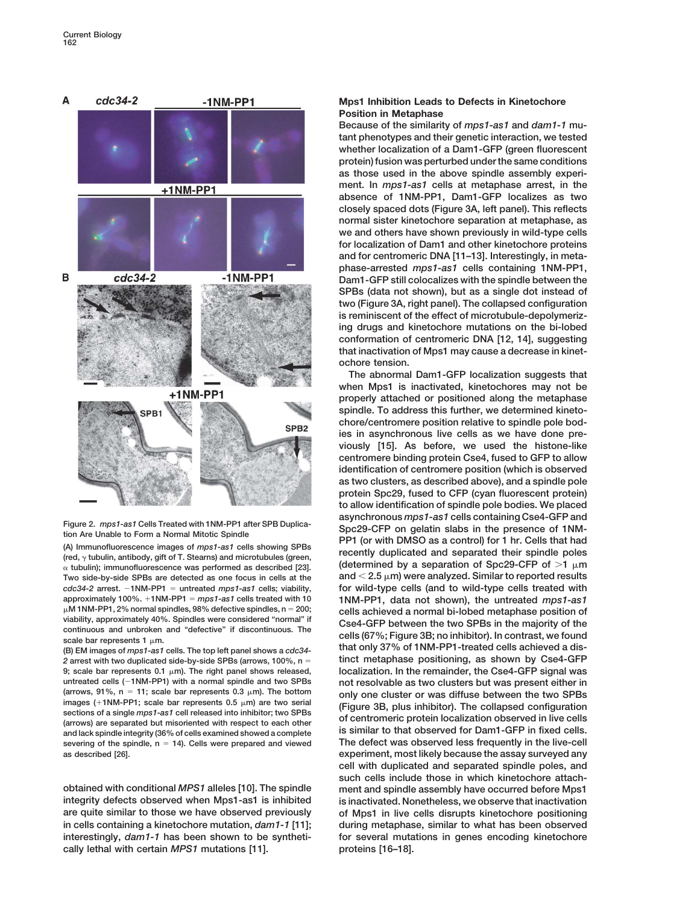

 **tubulin); immunofluorescence was performed as described [23]. (determined by a separation of Spc29-CFP of 1 m** Two side-by-side SPBs are detected as one focus in cells at the  $\qquad \text{and} \leq 2.5 \,\mu\text{m}$ ) were analyzed. Similar to reported results *cdc34-2* **arrest. 1NM-PP1** approximately 100%.  $+1NM-PP1 = mps1-as1$  cells treated with 10  $\mu$ M 1NM-PP1, 2% normal spindles, 98% defective spindles, n = 200;

*2* **arrest with two duplicated side-by-side SPBs (arrows, 100%, n 9; scale bar represents 0.1 m). The right panel shows released, localization. In the remainder, the Cse4-GFP signal was** (arrows, 91%,  $n = 11$ ; scale bar represents 0.3  $\mu$ m). The bottom images (+1NM-PP1; scale bar represents 0.5  $\mu$ m) are two serial (arrows, 91%, n = 11; scale bar represents 0.3  $\mu$ m). The bottom<br>
images (+1NM-PP1; scale bar represents 0.5  $\mu$ m) are two serial<br>
sections of a single *mps1*-as1 cell released into inhibitor; two SPBs<br>
(Figure 3B, plus severing of the spindle,  $n = 14$ ). Cells were prepared and viewed

**integrity defects observed when Mps1-as1 is inhibited is inactivated. Nonetheless, we observe that inactivation are quite similar to those we have observed previously of Mps1 in live cells disrupts kinetochore positioning in cells containing a kinetochore mutation,** *dam1-1* **[11]; during metaphase, similar to what has been observed interestingly,** *dam1-1* **has been shown to be syntheti- for several mutations in genes encoding kinetochore cally lethal with certain** *MPS1* **mutations [11]. proteins [16–18].**

## **Mps1 Inhibition Leads to Defects in Kinetochore Position in Metaphase**

**Because of the similarity of** *mps1-as1* **and** *dam1-1* **mutant phenotypes and their genetic interaction, we tested whether localization of a Dam1-GFP (green fluorescent protein) fusion was perturbed under the same conditions as those used in the above spindle assembly experiment. In** *mps1-as1* **cells at metaphase arrest, in the absence of 1NM-PP1, Dam1-GFP localizes as two closely spaced dots (Figure 3A, left panel). This reflects normal sister kinetochore separation at metaphase, as we and others have shown previously in wild-type cells for localization of Dam1 and other kinetochore proteins and for centromeric DNA [11–13]. Interestingly, in metaphase-arrested** *mps1-as1* **cells containing 1NM-PP1, Dam1-GFP still colocalizes with the spindle between the SPBs (data not shown), but as a single dot instead of two (Figure 3A, right panel). The collapsed configuration is reminiscent of the effect of microtubule-depolymerizing drugs and kinetochore mutations on the bi-lobed conformation of centromeric DNA [12, 14], suggesting that inactivation of Mps1 may cause a decrease in kinetochore tension.**

**The abnormal Dam1-GFP localization suggests that when Mps1 is inactivated, kinetochores may not be properly attached or positioned along the metaphase spindle. To address this further, we determined kinetochore/centromere position relative to spindle pole bodies in asynchronous live cells as we have done previously [15]. As before, we used the histone-like centromere binding protein Cse4, fused to GFP to allow identification of centromere position (which is observed as two clusters, as described above), and a spindle pole protein Spc29, fused to CFP (cyan fluorescent protein) to allow identification of spindle pole bodies. We placed** Figure 2. mps1-as1 Cells Treated with 1NM-PP1 after SPB Duplica-<br>tion Are Unable to Form a Normal Mitotic Spindle<br>(A) Immunofluorescence images of mps1-as1 cells showing SPBs<br>(red,  $\gamma$  tubulin, antibody, gift of T. Steams for wild-type cells (and to wild-type cells treated with *mps1-as1* **cells treated with 10 1NM-PP1, data not shown), the untreated** *mps1-as1*  $\mu$ M 1NM-PP1, 2% normal spindles, 98% defective spindles, n = 200;<br>viability, approximately 40%. Spindles were considered "normal" if<br>continuous and unbroken and "defective" if discontinuous. The<br>scale bar represents 1 **tinct metaphase positioning, as shown by Cse4-GFP**  $not$  resolvable as two clusters but was present either in The defect was observed less frequently in the live-cell **as described [26]. experiment, most likely because the assay surveyed any cell with duplicated and separated spindle poles, and such cells include those in which kinetochore attachobtained with conditional** *MPS1* **alleles [10]. The spindle ment and spindle assembly have occurred before Mps1**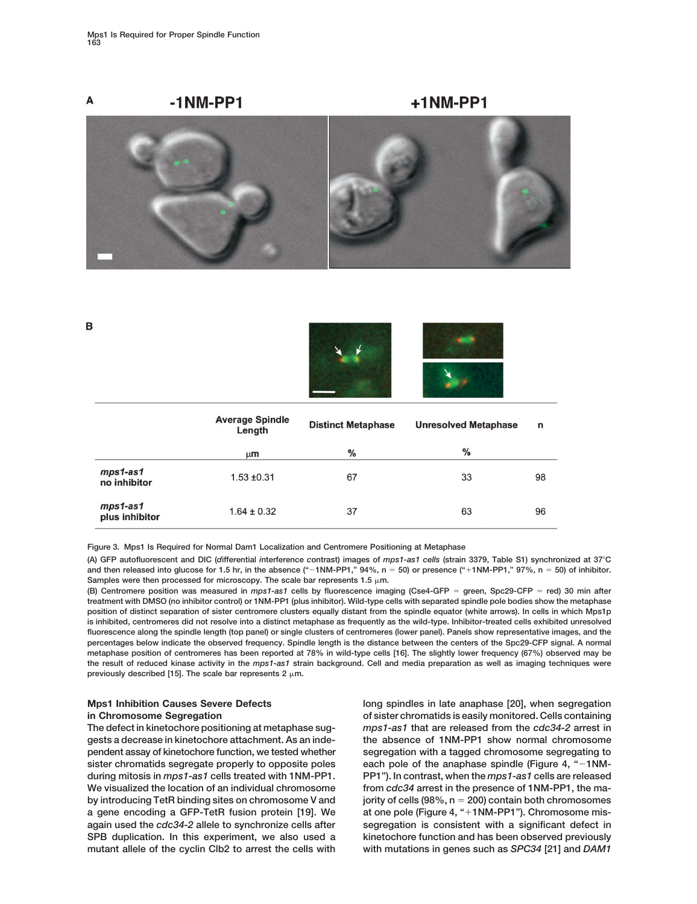в



|                              | <b>Average Spindle</b><br>Length | <b>Distinct Metaphase</b> | <b>Unresolved Metaphase</b> | n  |
|------------------------------|----------------------------------|---------------------------|-----------------------------|----|
|                              | $\mu$ m                          | %                         | $\%$                        |    |
| mps1-as1<br>no inhibitor     | $1.53 + 0.31$                    | 67                        | 33                          | 98 |
| $mps1-as1$<br>plus inhibitor | $1.64 \pm 0.32$                  | 37                        | 63                          | 96 |

**Figure 3. Mps1 Is Required for Normal Dam1 Localization and Centromere Positioning at Metaphase**

**(A) GFP autofluorescent and DIC (***d***ifferential** *i***nterference** *c***ontrast) images of** *mps1-as1 cells* **(strain 3379, Table S1) synchronized at 37**-**C and then released into glucose for 1.5 hr, in the absence ("1NM-PP1," 94%, n 50) or presence ("1NM-PP1," 97%, n 50) of inhibitor.** Samples were then processed for microscopy. The scale bar represents  $1.5 \mu m$ .

**(B) Centromere position was measured in** *mps1-as1* **cells by fluorescence imaging (Cse4-GFP green, Spc29-CFP red) 30 min after treatment with DMSO (no inhibitor control) or 1NM-PP1 (plus inhibitor). Wild-type cells with separated spindle pole bodies show the metaphase position of distinct separation of sister centromere clusters equally distant from the spindle equator (white arrows). In cells in which Mps1p is inhibited, centromeres did not resolve into a distinct metaphase as frequently as the wild-type. Inhibitor-treated cells exhibited unresolved fluorescence along the spindle length (top panel) or single clusters of centromeres (lower panel). Panels show representative images, and the percentages below indicate the observed frequency. Spindle length is the distance between the centers of the Spc29-CFP signal. A normal metaphase position of centromeres has been reported at 78% in wild-type cells [16]. The slightly lower frequency (67%) observed may be the result of reduced kinase activity in the** *mps1-as1* **strain background. Cell and media preparation as well as imaging techniques were** previously described [15]. The scale bar represents  $2 \mu m$ .

by introducing TetR binding sites on chromosome V and

**Mps1 Inhibition Causes Severe Defects long spindles in late anaphase [20], when segregation in Chromosome Segregation of sister chromatids is easily monitored. Cells containing The defect in kinetochore positioning at metaphase sug-** *mps1-as1* **that are released from the** *cdc34-2* **arrest in gests a decrease in kinetochore attachment. As an inde- the absence of 1NM-PP1 show normal chromosome pendent assay of kinetochore function, we tested whether segregation with a tagged chromosome segregating to sister chromatids segregate properly to opposite poles each pole of the anaphase spindle (Figure 4, "1NMduring mitosis in** *mps1-as1* **cells treated with 1NM-PP1. PP1"). In contrast, when the** *mps1-as1* **cells are released We visualized the location of an individual chromosome from** *cdc34* **arrest in the presence of 1NM-PP1, the ma**jority of cells (98%, n = 200) contain both chromosomes **a gene encoding a GFP-TetR fusion protein [19]. We at one pole (Figure 4, "1NM-PP1"). Chromosome misagain used the** *cdc34-2* **allele to synchronize cells after segregation is consistent with a significant defect in SPB duplication. In this experiment, we also used a kinetochore function and has been observed previously mutant allele of the cyclin Clb2 to arrest the cells with with mutations in genes such as** *SPC34* **[21] and** *DAM1*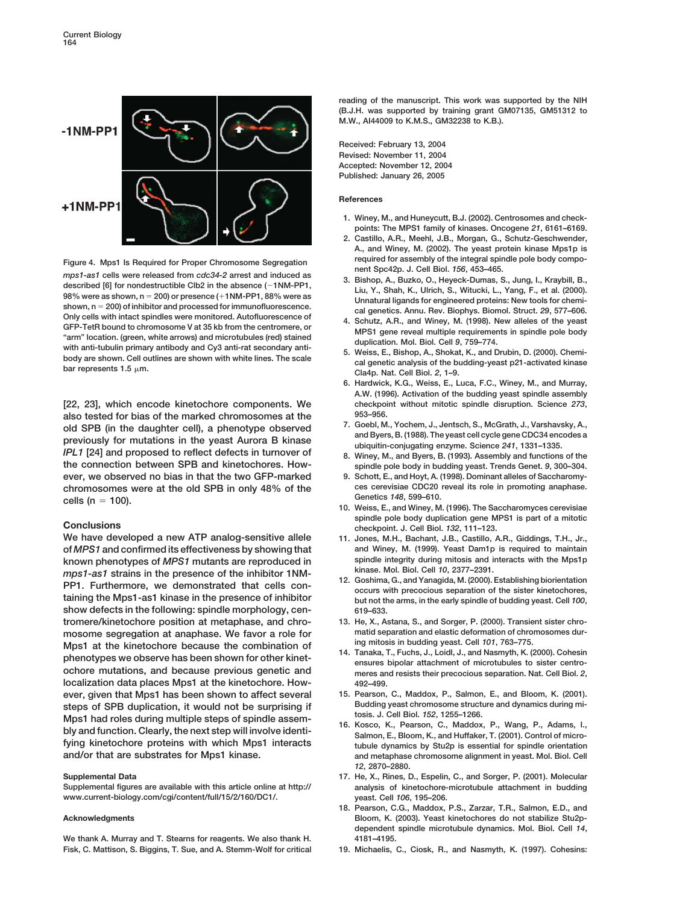

Figure 4. Mps1 Is Required for Proper Chromosome Segregation<br>
mps1-as1 cells were released from  $\alpha$ c34-2 arrest and induced as<br>
described [6] for nondestructible Clb2 in the absence (-1NM-PP1,<br>
98% were as shown, n = 200 **200)** of inhibitor and processed for immunofluorescence.<br> **2008** cal genetics. Annu. Rev. Biophys. Biomol. Struct. 29, 577–606. shown, n = 200) of inhibitor and processed for immunofluorescence.<br>
Only cells with intact spindles were monitored. Autofluorescence of<br>
Only cells with intact spindles were monitored. Autofluorescence of<br>
GFP-TetR bound

**[22, 23], which encode kinetochore components. We checkpoint without mitotic spindle disruption. Science** *273***, also tested for bias of the marked chromosomes at the**  $953-956$ .<br> **ald SDB** (in the daughter coll), a phonotype observed 7. Goebl, M., Yochem, J., Jentsch, S., McGrath, J., Varshavsky, A., old SPB (in the daughter cell), a phenotype observed<br>previously for mutations in the yeast Aurora B kinase<br>
IPL1 [24] and proposed to reflect defects in turnover of<br>
the connection between SPB and kinetochores. How-<br>
the c **ever, we observed no bias in that the two GFP-marked 9. Schott, E., and Hoyt, A. (1998). Dominant alleles of Saccharomychromosomes were at the old SPB in only 48% of the ces cerevisiae CDC20 reveal its role in promoting anaphase. Genetics** *<sup>148</sup>***, 599–610. cells (n**

**We have developed a new ATP analog-sensitive allele 11. Jones, M.H., Bachant, J.B., Castillo, A.R., Giddings, T.H., Jr., of** *MPS1* **and confirmed its effectiveness by showing that and Winey, M. (1999). Yeast Dam1p is required to maintain** known phenotypes of *MPS1* mutants are reproduced in<br>
mps1-as1 strains in the presence of the inhibitor 1NM-<br>
PP1. Furthermore, we demonstrated that cells con-<br>
taining the Mps1-as1 kinase in the presence of inhibitor<br>
tai **show defects in the following: spindle morphology, cen- 619–633. tromere/kinetochore position at metaphase, and chro- 13. He, X., Astana, S., and Sorger, P. (2000). Transient sister chro**mosome segregation at anaphase. We favor a role for matid separation and elastic deformation of chromosome and elastic deformation of chromosome and elastic deformation of chromosome and and a media of the combination of c Mps1 at the kinetochore because the combination of<br>phenotypes we observe has been shown for other kinet-<br>ochore mutations, and because previous genetic and<br>ochore mutations, and because previous genetic and<br>ensures and res **localization data places Mps1 at the kinetochore. How- 492–499. ever, given that Mps1 has been shown to affect several 15. Pearson, C., Maddox, P., Salmon, E., and Bloom, K. (2001).** steps of SPB duplication, it would not be surprising if<br>Mps1 had roles during multiple steps of spindle assem-<br>bly and function. Clearly, the next step will involve identi-<br>fying kinetochore proteins with which Mps1 intera **rying Kinetochore proteins with which Mps1 interacts** tubule dynamics by Stu2p is essential for spindle orientation<br>and/or that are substrates for Mps1 kinase. This and metaphase chromosome alignment in yeast. Mol. Biol.

**www.current-biology.com/cgi/content/full/15/2/160/DC1/. yeast. Cell** *106***, 195–206.**

We thank A. Murray and T. Stearns for reagents. We also thank H. 4181-4195. **Fisk, C. Mattison, S. Biggins, T. Sue, and A. Stemm-Wolf for critical 19. Michaelis, C., Ciosk, R., and Nasmyth, K. (1997). Cohesins:**

**reading of the manuscript. This work was supported by the NIH (B.J.H. was supported by training grant GM07135, GM51312 to M.W., AI44009 to K.M.S., GM32238 to K.B.).**

**Received: February 13, 2004 Revised: November 11, 2004 Accepted: November 12, 2004 Published: January 26, 2005**

## **References**

- **1. Winey, M., and Huneycutt, B.J. (2002). Centrosomes and checkpoints: The MPS1 family of kinases. Oncogene** *21***, 6161–6169.**
- **2. Castillo, A.R., Meehl, J.B., Morgan, G., Schutz-Geschwender, A., and Winey, M. (2002). The yeast protein kinase Mps1p is**
- 
- 
- 
- **6. Hardwick, K.G., Weiss, E., Luca, F.C., Winey, M., and Murray, A.W. (1996). Activation of the budding yeast spindle assembly**
- 
- spindle pole body in budding yeast. Trends Genet. 9, 300-304.
- 
- 10. Weiss, E., and Winey, M. (1996). The Saccharomyces cerevisiae **spindle pole body duplication gene MPS1 is part of a mitotic Conclusions checkpoint. J. Cell Biol.** *<sup>132</sup>***, 111–123.**
	-
	-
	-
	-
	-
	- *12***, 2870–2880.**
- **Supplemental Data 17. He, X., Rines, D., Espelin, C., and Sorger, P. (2001). Molecular Supplemental figures are available with this article online at http:// analysis of kinetochore-microtubule attachment in budding**
- **18. Pearson, C.G., Maddox, P.S., Zarzar, T.R., Salmon, E.D., and Acknowledgments Bloom, K. (2003). Yeast kinetochores do not stabilize Stu2pdependent spindle microtubule dynamics. Mol. Biol. Cell** *14***,**
	-